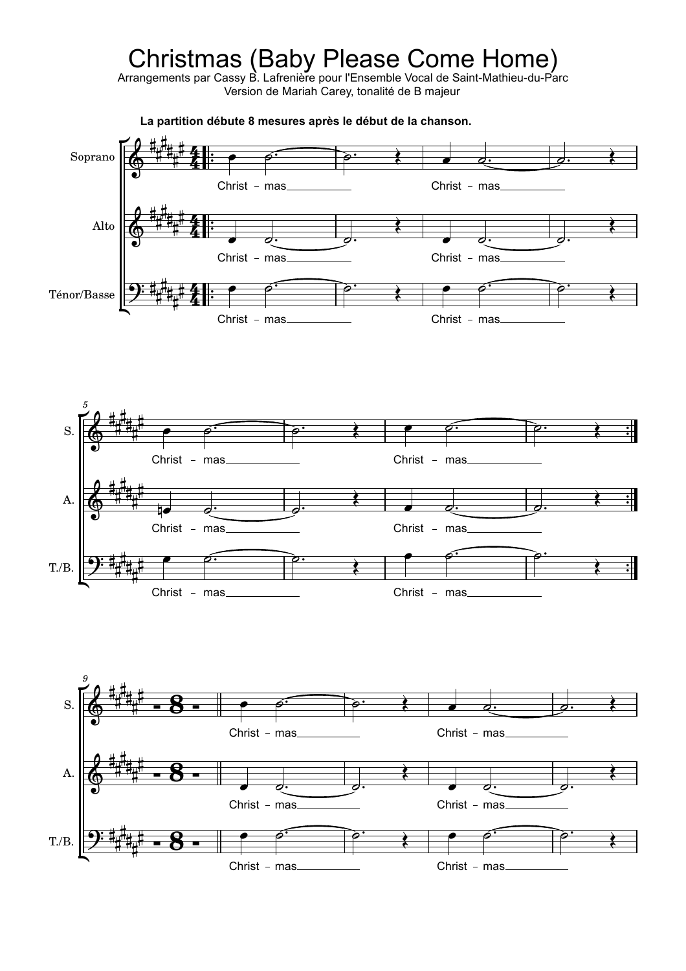## Christmas (Baby Please Come Home)

Arrangements par Cassy B. Lafrenière pour l'Ensemble Vocal de Saint-Mathieu-du-Parc Version de Mariah Carey, tonalité de B majeur

*9 5* T./B. T./B. Ténor/Basse A. A. Alto S. S. Soprano  $\frac{1}{2}$ <u>ने</u>  $\frac{1}{\cdot}$  $\ddot{\cdot}$  $\frac{1}{2}$ **。甘**  $\ddot{\cdot}$  $\ddot{\bullet}$  $\frac{1}{2}$ **。<br>十**  $\ddot{\cdot}$  $\ddot{\bullet}$  $\overline{\bullet}$  $\phi$   $\phi$   $\phi$   $\phi$  $\bullet$   $\circ$   $\bullet$  $\bullet$   $\circ$  $\rho$  .  $\rho$  .  $\bullet$   $\circ$   $\bullet$   $\bullet$   $\circ$   $\bullet$   $\circ$  $\phi$ .  $\bullet$   $\bullet$   $\bullet$ .  $\bullet$ .  $\overline{\phantom{a}}$   $\overline{\phantom{a}}$   $\overline{\phantom{a}}$  $\overrightarrow{c}$  $\bullet$   $\bullet$   $\bullet$  $\bullet$  denotes be a set of the set of  $\bullet$  denotes be a set of  $\bullet$  $\phi$ .  $\delta$ .  $\phi$  and  $\phi$  $\overline{\phantom{a}}$  $\bullet$   $\circ$  $\bullet$   $\circ$   $\circ$  $\rho$   $\rho$   $\rho$   $\rho$   $\rho$   $\rho$   $\rho$ <del>9: ###\_#\_\_</del> <del>9: # # # # #</del> <del>9: #### 4</del>  $\oint_0^{\frac{1}{1 + \frac{1}{2}} \cdot \frac{1}{2}}$ O<sup>##"</sup>  $\frac{1}{2}$  $\oint_0^{\frac{1}{1 + \frac{1}{2} + \cdots + \frac{1}{2}}}$  $\oint_0^{\frac{1}{1 + \frac{1}{2}} + \frac{1}{2}}$ 6 TH 7 #<br># #<sup>#</sup><br># ╪╶┽<br>╬╅┸╌ #<br>##\_# ╈<sup>╇</sup>╇┯╇<br>╇╾┷╈┷ ╅╶╈<br>╇╈<sup>╇</sup>╈╖  $#$ #<sup>#</sup><br># ⋕⋕ #<br>##\_# ╈<sup>╇</sup>┋┯╫<br>╫╌┊<sub>╈</sub>╨ ╈<del>╷╇</del><br>╇╈<sup>╇</sup>╋╖ #4 #4 ┋┋┹ #<br>#<sub>#\_#</sub>  $\frac{\pi^+}{\pi^+}$ ╈<del>╶╋</del><br>╇╈┻╈╖  $\frac{\text{#}}{\text{#}}$ #<sup>#</sup><br>#  $\sharp_{\sharp}^{\#}$ #<br>##\_#\_ ╈<sup>╇</sup>┋┯╫<br>╫╌┊<sub>╈</sub>╨ ╅╷┿<br>╇╈<sup>╇</sup>╋╖  $#$   $\sharp_{\sharp}^{\#}$ #<br>##\_#\_ ╈<sup>╇</sup>╇┯╇<br>╇╾┷╈┷ ╅╷┿<br>╇╈<sup>╇</sup>╪╖ <u>#\*</u> ## 4 #<br>##\_#\_ ┯<sup>┿</sup>╂╤╇ ⋕ౣ⋕<br>⋕<sub>╫</sub>╨⋕ౣ  $\frac{\text{#}}{\text{#}}$ #<sup>#</sup><br>#  $\frac{\mu + \mu}{2}$ #<br>##\_#\_ ┯<sup>┿</sup>┋╤╫ ╅<u>╅</u>╃╅┄  $^{\#}$  . #<sup>#</sup><br># ##<br>#<sub>#</sub># #<br>##\_#\_ ╈<sup>╇</sup>┋╤╫<br>╇╧┋╈ ⋕<del>╷⋕</del><br>╄╈<sup>╇</sup>⋕╖ <u>#\*</u> ##<br># <u></u><br>"‡…# ┯<sup>┿</sup>╉╤╇<br>╇<del>╌</del>╇╈ ⋕<br><sup>⋕</sup>╫╨⋕╖  $\sharp \parallel$ :  $\vdash$ 组 -组 -  $\bullet$   $\bullet$   $\overrightarrow{c}$  $\mathbf{r}$  $\sum_{i=1}^{n}$  $\mathbf{r}$  $\sum_{i=1}^{n}$  Christ - mas\_ Christ -  $mas$ Christ - mas Christ - mas Christ -  $mas$ Christ -  $mas$ Christ -  $mas$ Christ -  $mas$ Christ - mas Christ - mas Christ - mas. Christ -  $mas$ Christ -  $mas$ Christ -  $mas$ Christ - mas Christ - mas **- 8 - - 8 - - 8 - La partition débute 8 mesures après le début de la chanson.**  $\cdot$   $\cdot$   $\cdot$   $\cdot$   $\cdot$  $\frac{1}{\sqrt{2}}$  $\equiv$  $\cdot$   $\cdot$  $\overrightarrow{\rho}$   $\overrightarrow{\rho}$   $\overrightarrow{\rho}$  $\frac{1}{2}$  ,  $\frac{1}{2}$  $\frac{1}{\sqrt{1-\frac{1}{\sqrt{1-\frac{1}{\sqrt{1-\frac{1}{\sqrt{1-\frac{1}{\sqrt{1-\frac{1}{\sqrt{1-\frac{1}{\sqrt{1-\frac{1}{\sqrt{1-\frac{1}{\sqrt{1-\frac{1}{\sqrt{1-\frac{1}{\sqrt{1-\frac{1}{\sqrt{1-\frac{1}{\sqrt{1-\frac{1}{\sqrt{1-\frac{1}{\sqrt{1-\frac{1}{\sqrt{1-\frac{1}{\sqrt{1-\frac{1}{\sqrt{1-\frac{1}{\sqrt{1-\frac{1}{\sqrt{1-\frac{1}{\sqrt{1-\frac{1}{\sqrt{1-\frac{1}{\sqrt{1-\frac{1}{\sqrt{1-\frac{1$  $\overline{\phantom{0}}$  $\frac{1}{2}$  $\frac{1}{2}$ ,  $\frac{1}{2}$ ,  $\frac{1}{2}$ ,  $\frac{1}{2}$ ,  $\frac{1}{2}$ ,  $\frac{1}{2}$ ,  $\frac{1}{2}$ ,  $\frac{1}{2}$ ,  $\frac{1}{2}$ ,  $\frac{1}{2}$ ,  $\frac{1}{2}$ ,  $\frac{1}{2}$ ,  $\frac{1}{2}$ ,  $\frac{1}{2}$ ,  $\frac{1}{2}$ ,  $\frac{1}{2}$ ,  $\frac{1}{2}$ ,  $\frac{1}{2}$ ,  $\frac{1}{2}$ ,  $\frac{1}{2}$ ,  $\ddot{\phantom{0}}$  $\ddot{\phantom{0}}$  $\equiv$  $\ddot{\phantom{0}}$  $\equiv$  $\equiv$  $\overline{\hspace{1cm}}$   $\overline{\hspace{1cm}}$   $\overline{\hspace{1cm}}$   $\overline{\hspace{1cm}}$   $\overline{\hspace{1cm}}$   $\overline{\hspace{1cm}}$   $\overline{\hspace{1cm}}$   $\overline{\hspace{1cm}}$   $\overline{\hspace{1cm}}$   $\overline{\hspace{1cm}}$   $\overline{\hspace{1cm}}$   $\overline{\hspace{1cm}}$   $\overline{\hspace{1cm}}$   $\overline{\hspace{1cm}}$   $\overline{\hspace{1cm}}$   $\overline{\hspace{1cm}}$   $\overline{\hspace{1cm}}$   $\frac{1}{\sqrt{1-\frac{1}{c^2}}}$  $\sum_{\rho}$ r<br>17<del>0 tutu</del>  $\mathbb{R}$   $\mathbb{R}$ r<br>1<del>. 2. tutu</del>  $\mathbb{R}$  $\nabla \theta \# t$ Ľ

Christ -  $mas$ 

Christ -  $mas$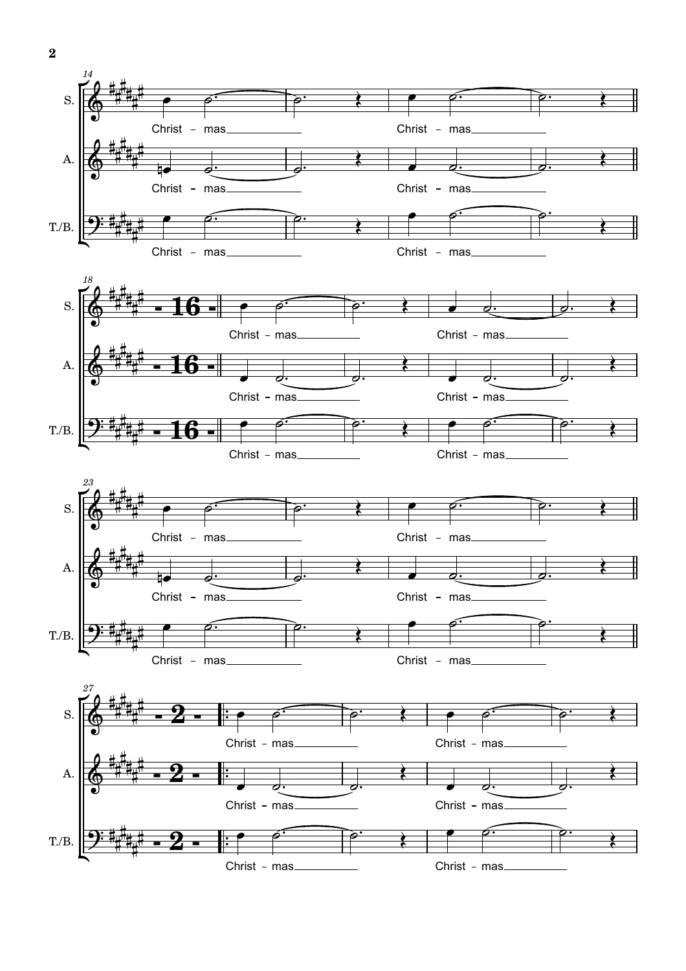